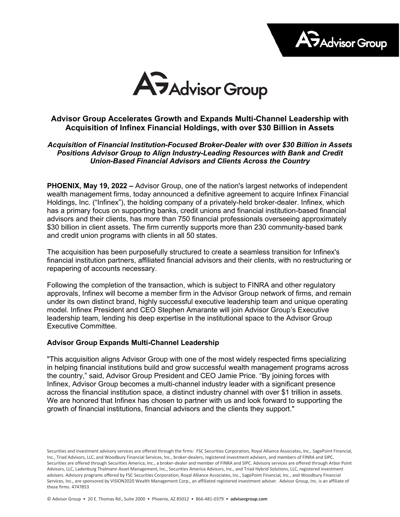

A<sub>7</sub>Advisor Group

# **Advisor Group Accelerates Growth and Expands Multi-Channel Leadership with Acquisition of Infinex Financial Holdings, with over \$30 Billion in Assets**

# *Acquisition of Financial Institution-Focused Broker-Dealer with over \$30 Billion in Assets Positions Advisor Group to Align Industry-Leading Resources with Bank and Credit Union-Based Financial Advisors and Clients Across the Country*

**PHOENIX, May 19, 2022 –** Advisor Group, one of the nation's largest networks of independent wealth management firms, today announced a definitive agreement to acquire Infinex Financial Holdings, Inc. ("Infinex"), the holding company of a privately-held broker-dealer. Infinex, which has a primary focus on supporting banks, credit unions and financial institution-based financial advisors and their clients, has more than 750 financial professionals overseeing approximately \$30 billion in client assets. The firm currently supports more than 230 community-based bank and credit union programs with clients in all 50 states.

The acquisition has been purposefully structured to create a seamless transition for Infinex's financial institution partners, affiliated financial advisors and their clients, with no restructuring or repapering of accounts necessary.

Following the completion of the transaction, which is subject to FINRA and other regulatory approvals, Infinex will become a member firm in the Advisor Group network of firms, and remain under its own distinct brand, highly successful executive leadership team and unique operating model. Infinex President and CEO Stephen Amarante will join Advisor Group's Executive leadership team, lending his deep expertise in the institutional space to the Advisor Group Executive Committee.

## **Advisor Group Expands Multi-Channel Leadership**

"This acquisition aligns Advisor Group with one of the most widely respected firms specializing in helping financial institutions build and grow successful wealth management programs across the country," said, Advisor Group President and CEO Jamie Price. "By joining forces with Infinex, Advisor Group becomes a multi-channel industry leader with a significant presence across the financial institution space, a distinct industry channel with over \$1 trillion in assets. We are honored that Infinex has chosen to partner with us and look forward to supporting the growth of financial institutions, financial advisors and the clients they support."

Securities and investment advisory services are offered through the firms: FSC Securities Corporation, Royal Alliance Associates, Inc., SagePoint Financial, Inc., Triad Advisors, LLC, and Woodbury Financial Services, Inc., broker-dealers, registered investment advisers, and members of FINRA and SIPC. Securities are offered through Securities America, Inc., a broker-dealer and member of FINRA and SIPC. Advisory services are offered through Arbor Point Advisors, LLC, Ladenburg Thalmann Asset Management, Inc., Securities America Advisors, Inc., and Triad Hybrid Solutions, LLC, registered investment advisers. Advisory programs offered by FSC Securities Corporation, Royal Alliance Associates, Inc., SagePoint Financial, Inc., and Woodbury Financial Services, Inc., are sponsored by VISION2020 Wealth Management Corp., an affiliated registered investment adviser. Advisor Group, Inc. is an affiliate of these firms. 4747853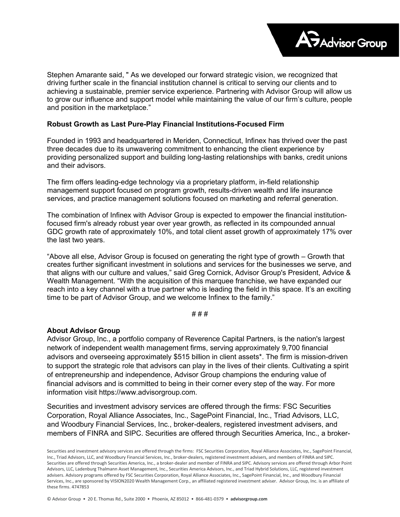

Stephen Amarante said, " As we developed our forward strategic vision, we recognized that driving further scale in the financial institution channel is critical to serving our clients and to achieving a sustainable, premier service experience. Partnering with Advisor Group will allow us to grow our influence and support model while maintaining the value of our firm's culture, people and position in the marketplace."

# **Robust Growth as Last Pure-Play Financial Institutions-Focused Firm**

Founded in 1993 and headquartered in Meriden, Connecticut, Infinex has thrived over the past three decades due to its unwavering commitment to enhancing the client experience by providing personalized support and building long-lasting relationships with banks, credit unions and their advisors.

The firm offers leading-edge technology via a proprietary platform, in-field relationship management support focused on program growth, results-driven wealth and life insurance services, and practice management solutions focused on marketing and referral generation.

The combination of Infinex with Advisor Group is expected to empower the financial institutionfocused firm's already robust year over year growth, as reflected in its compounded annual GDC growth rate of approximately 10%, and total client asset growth of approximately 17% over the last two years.

"Above all else, Advisor Group is focused on generating the right type of growth – Growth that creates further significant investment in solutions and services for the businesses we serve, and that aligns with our culture and values," said Greg Cornick, Advisor Group's President, Advice & Wealth Management. "With the acquisition of this marquee franchise, we have expanded our reach into a key channel with a true partner who is leading the field in this space. It's an exciting time to be part of Advisor Group, and we welcome Infinex to the family."

# # #

## **About Advisor Group**

Advisor Group, Inc., a portfolio company of Reverence Capital Partners, is the nation's largest network of independent wealth management firms, serving approximately 9,700 financial advisors and overseeing approximately \$515 billion in client assets\*. The firm is mission-driven to support the strategic role that advisors can play in the lives of their clients. Cultivating a spirit of entrepreneurship and independence, Advisor Group champions the enduring value of financial advisors and is committed to being in their corner every step of the way. For more information visit [https://www.advisorgroup.com.](https://nam12.safelinks.protection.outlook.com/?url=https%3A%2F%2Fc212.net%2Fc%2Flink%2F%3Ft%3D0%26l%3Den%26o%3D3452016-1%26h%3D925263275%26u%3Dhttps%253A%252F%252Fwww.advisorgroup.com%252F%26a%3Dhttps%253A%252F%252Fwww.advisorgroup.com&data=04%7C01%7Clyue%40haventower.com%7C4d3d9e44811e485de4b008d9f892a4e0%7Cd0dd63bfd2d74384b925d05f6fad60a3%7C1%7C0%7C637814130993094452%7CUnknown%7CTWFpbGZsb3d8eyJWIjoiMC4wLjAwMDAiLCJQIjoiV2luMzIiLCJBTiI6Ik1haWwiLCJXVCI6Mn0%3D%7C3000&sdata=iDFIZjpupnEMT5OgetwPYuDZJ2wtdqZBcoM%2BZsCuPCM%3D&reserved=0)

Securities and investment advisory services are offered through the firms: FSC Securities Corporation, Royal Alliance Associates, Inc., SagePoint Financial, Inc., Triad Advisors, LLC, and Woodbury Financial Services, Inc., broker-dealers, registered investment advisers, and members of FINRA and SIPC. Securities are offered through Securities America, Inc., a broker-

Securities and investment advisory services are offered through the firms: FSC Securities Corporation, Royal Alliance Associates, Inc., SagePoint Financial, Inc., Triad Advisors, LLC, and Woodbury Financial Services, Inc., broker-dealers, registered investment advisers, and members of FINRA and SIPC. Securities are offered through Securities America, Inc., a broker-dealer and member of FINRA and SIPC. Advisory services are offered through Arbor Point Advisors, LLC, Ladenburg Thalmann Asset Management, Inc., Securities America Advisors, Inc., and Triad Hybrid Solutions, LLC, registered investment advisers. Advisory programs offered by FSC Securities Corporation, Royal Alliance Associates, Inc., SagePoint Financial, Inc., and Woodbury Financial Services, Inc., are sponsored by VISION2020 Wealth Management Corp., an affiliated registered investment adviser. Advisor Group, Inc. is an affiliate of these firms. 4747853